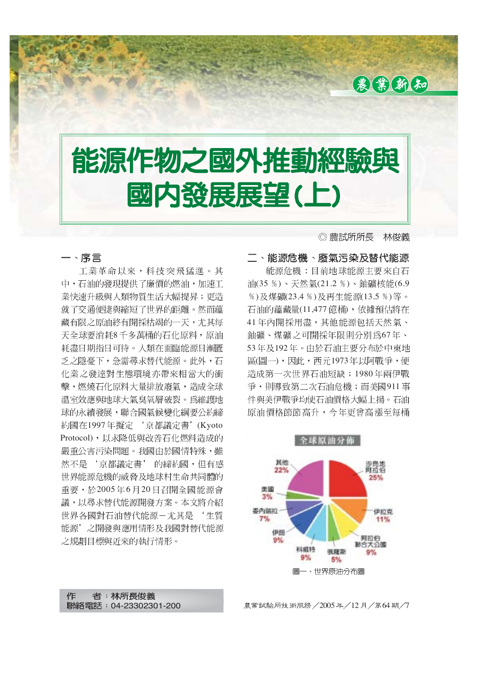

# 能源作物之國外推動經驗與 國内發展展望(上)

一、序言 工業革命以來,科技突飛猛淮。其 中,石油的發現提供了廉價的燃油,加速工 業快速升級與人類物質生活大幅提昇;更造 就了交通便捷與縮短了世界的距離。然而蘊 藏有限之原油終有開採枯竭的一天,尤其每 天全球要消耗8千多萬桶的石化原料,原油 耗盡日期指日可待。人類在面臨能源日漸匱 乏之隱憂下, 急需尋求替代能源。此外, 石 化業之發達對生態環境亦帶來相當大的衝 擊,燃燒石化原料大量排放廢氣,造成全球 溫室效應與地球大氣臭氧層破裂。為維護地 球的永續發展,聯合國氣候變化綱要公約締 約國在1997年擬定'京都議定書'(Kyoto Protocol), 以求降低與改善石化燃料造成的 嚴重公害污染問題。我國由於國情特殊,雖 然不是'京都議定書'的締約國,但有感 世界能源危機的威脅及地球村生命共同體的 重要,於2005年6月20日召開全國能源會 議,以尋求替代能源開發方案。本文將介紹 世界各國對石油替代能源–尤其是 '生質 能源'之開發與應用情形及我國對替代能源 之規劃目標與沂來的執行情形。

◎ 農試所所長 林俊義

二、能源危機、廢氣污染及替代能源 能源危機:目前地球能源主要來自石 油(35%)、天然氣(21.2%)、鈾礦核能(6.9 %)及煤礦(23.4 %)及再生能源(13.5 %)等。 石油的蘊藏量(11,477 億桶), 依據預估將在 41年內開採用盡,其他能源包括天然氣、 鈾礦、煤礦之可開採年限則分別為67年、 53年及192年。由於石油主要分布於中東地 區(圖一), 因此, 西元1973年以阿戰爭, 便 造成第一次世界石油短缺;1980年兩伊戰 爭,則導致第二次石油危機;而美國911事 件與美伊戰爭均使石油價格大幅上揚。石油 原油價格節節高升,今年更曾高漲至每桶



者: 林所長俊義 作 聯絡電話: 04-23302301-200

農業試驗所技術服務/2005年/12月/第64期/7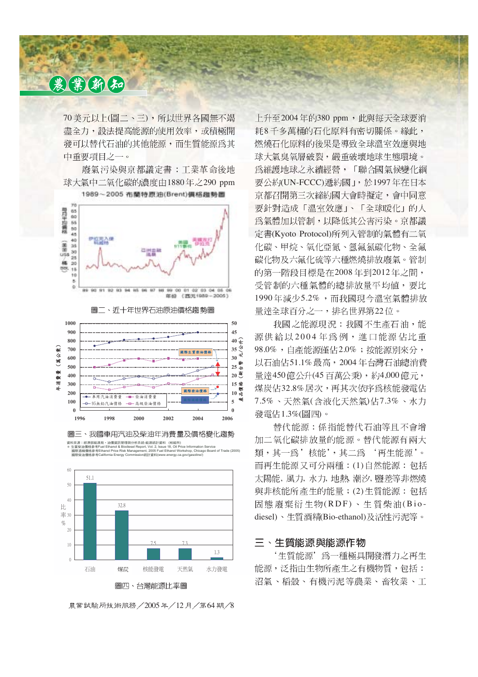70 美元以上(圖二、三), 所以世界各國無不竭 盡全力,設法提高能源的使用效率,或積極開 發可以替代石油的其他能源,而生質能源為其 中重要項目之一。

廢氣污染與京都議定書:工業革命後地 球大氣中二氧化碳的濃度由1880年之290 ppm 1989~2005 布蘭特原油(Brent)價格與勢圖



圖二、近十年世界石油原油價格趨勢圖



圖三、我國車用汽油及柴油年消費量及價格變化趨勢 資料來源:經濟部能源局,油價資訊管理與分析系統-能源統計資料 (核能所)<br>\* 生質柴油價格參考Fuel Ethanol & Biodiesel Report, Vol. 2, Issue 18, Oil Price Information Service

國際酒精價格參考Ethanol Price Risk Management, 2005 Fuel Ethanol Workshop, Chicago Board of Trade (2005) 國際柴油價格參考California Energy Commission統計資料(www.energy.ca.gov/gasoline/)



農業試驗所技術服務 / 2005年/12月/第64期/8

上升至2004年的380 ppm, 此與每天全球要消 耗8千多萬桶的石化原料有密切關係。緣此, 燃燒石化原料的後果是導致全球溫室效應與地 球大氣臭氧層破裂,嚴重破壞地球生態環境。 為維護地球之永續經營,「聯合國氣候變化綱 要公約(UN-FCCC) 遞約國 」, 於1997年在日本 京都召開第三次締約國大會時擬定,會中同意 要針對造成「溫室效應」、「全球暖化」的人 為氣體加以管制,以降低其公害污染。京都議 定書(Kyoto Protocol)所列入管制的氣體有二氧 化碳、甲烷、氧化亞氮、氫氟氯碳化物、全氟 碳化物及六氟化硫等六種燃燒排放廢氣。管制 的第一階段目標是在2008年到2012年之間, 受管制的六種氣體的總排放量平均值,要比 1990年減少5.2%,而我國現今溫室氣體排放 量達全球百分之一,排名世界第22位。

我國之能源現況:我國不生產石油,能 源供給以2004年為例,進口能源佔比重 98.0%,自產能源僅佔2.0%;按能源別來分, 以石油佔51.1% 最高,2004年台灣石油總消費 量達450 億公升(45 百萬公秉), 約4,000 億元, 煤炭佔32.8%居次,再其次依序為核能發電佔 7.5%、天然氣(含液化天然氣)佔7.3%、水力 發電佔1.3%(圖四)。

替代能源: 係指能替代石油等且不會增 加二氧化碳排放量的能源。替代能源有兩大 類,其一為'核能',其二為'再生能源'。 而再生能源又可分兩種: (1)自然能源: 包括 太陽能, 風力, 水力, 地熱、潮汐, 鹽差等非燃燒 與非核能所產生的能量;(2)生質能源:包括 固態廢棄衍生物(RDF)、生質柴油(Biodiesel)、生質酒精(Bio-ethanol)及活性污泥等。

#### 三、生質能源與能源作物

'生質能源'為一種極具開發潛力之再生 能源, 泛指由生物所產生之有機物質, 包括: 沼氣、稻殼、有機污泥等農業、畜牧業、工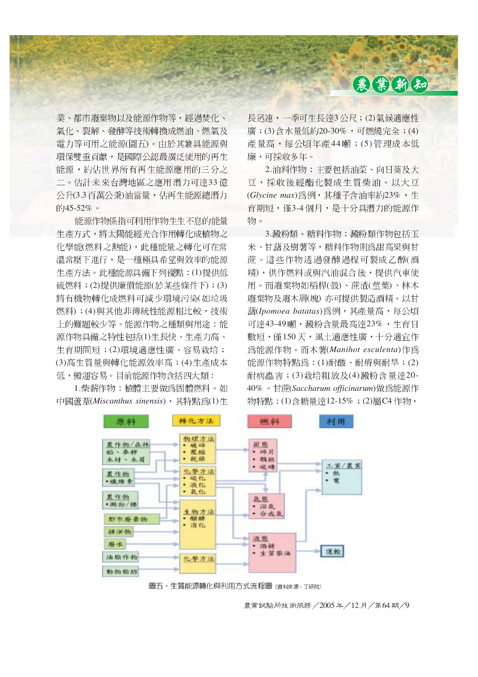

業、都市廢棄物以及能源作物等,經過焚化、 氣化、裂解、發酵等技術轉換成燃油、燃氣及 電力等可用之能源(圖五)。由於其兼具能源與 環保雙重貢獻,是國際公認最廣泛使用的再生 能源,約佔世界所有再生能源應用的三分之 二。估計未來台灣地區之應用潛力可達33億 公升(3.3百萬公秉)油當量,佔再生能源總潛力 的45-52%。

能源作物係指可利用作物生生不息的能量 生產方式,將太陽能經光合作用轉化成植物之 化學能(燃料之熱能),此種能量之轉化可在常 溫常壓下進行,是一種極具希望與效率的能源 生產方法。此種能源具備下列優點:(1)提供低 硫燃料;(2) 提供廉價能源(於某些條件下);(3) 將有機物轉化成燃料可減少環境污染(如垃圾 燃料);(4)與其他非傳統性能源相比較,技術 上的難題較少等。能源作物之種類與用途:能 源作物具備之特性包括(1)生長快、生產力高、 牛育期間短;(2)環境滴應性廣、容易栽培; (3) 高生質量與轉化能源效率高; (4) 生產成本 低,搬運容易。目前能源作物含括四大類:

1.柴薪作物:植體主要做為固體燃料。如 中國蘆葦(Miscanthus sinensis), 其特點為(1)生

長迅速,一季可生長達3公尺;(2)氣候適應性 廣;(3) 含水量低約20-30%,可燃燒完全;(4) 產量高,每公頃年產44噸;(5)管理成本低 廉,可採收多年。

2.油料作物:主要包括油菜、向日葵及大 豆,採收後經酯化製成生質柴油。以大豆 (Glycine max)為例, 其種子含油率約23%, 生 育期短,僅3-4個月,是十分具潛力的能源作 物。

3.澱粉類、糖料作物:澱粉類作物包括玉 米、甘藷及樹薯等,糖料作物則為甜高梁與甘 蔗。這些作物透過發酵過程可製成乙醇(酒 精),供作燃料或與汽油混合後,提供汽車使 用。而廢棄物如稻桿(殼)、蔗渣(莖葉)、林木 廢棄物及廢木屑(塊) 亦可提供製造酒精。以甘 (*Ipomoea batatas*) 可達43-49 噸, 澱粉含量最高達23%, 生育日 數短,僅150天,風土適應性廣,十分適官作 (*Manihot esculenta*) 能源作物特點為: (1) 耐酸、耐瘠與耐旱; (2) 耐病蟲害;(3)栽培粗放及(4)澱粉含量達20-40% · 甘蔗(Saccharum officinarum)做為能源作 物特點: (1) 含糖量達12-15%; (2) 屬 C4 作物,



圖五、生質能源轉化與利用方式流程圖(資料來源: 工研院)

農業試驗所技術服務/2005年/12月/第64期/9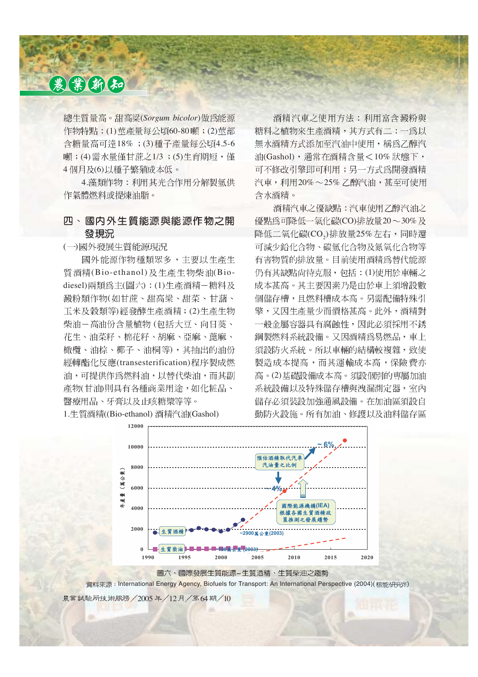總生質量高。甜高粱(Sorgum bicolor)做為能源 作物特點: (1) 萊產量每公頃60-80 噸; (2) 萊部 含糖量高可達18%; (3) 種子產量每公頃4.5-6 噸;(4) 需水量僅甘蔗之1/3;(5) 生育期短, 僅 4個月及(6)以種子繁殖成本低。

4. 藻類作物: 利用其光合作用分解製氫供 作氣體燃料或提煉油脂。

#### 四、國内外生質能源與能源作物之開 發現況

(一)國外發展生質能源現況

國外能源作物種類眾多,主要以生產生 質酒精(Bio-ethanol) 及生產生物柴油(Biodiesel) 兩類為主(圖六): (1) 生產酒精-糖料及 澱粉類作物(如甘蔗、甜高梁、甜菜、甘藷、 工米及穀類等)經發酵生產酒精;(2)生產生物 柴油-高油份含量植物 (包括大豆、向日葵、 花生、油菜籽、棉花籽、胡麻、亞麻、蓖麻、 橄欖、油棕、椰子、油桐等),其抽出的油份 經轉酯化反應(transesterification)程序製成燃 油,可提供作為燃料油,以替代柴油,而其副 產物(甘油)則具有各種商業用涂,如化粧品、 醫療用品、牙膏以及止咳糖漿等等。

1.生質酒精((Bio-ethanol) 酒精汽油(Gashol)

酒精汽車之使用方法:利用富含澱粉與 糖料之植物來生產酒精,其方式有二:一為以 無水酒精方式添加至汽油中使用,稱為乙醇汽 油(Gashol), 通常在酒精含量<10%狀態下, 可不修改引擎即可利用;另一方式爲開發酒精 汽車,利用20%~25% 乙醇汽油,甚至可使用 含水酒精。

酒精汽車之優缺點:汽車使用乙醇汽油之 優點為可降低一氧化碳(CO)排放量20~30%及 (CO $_2$ )排放量25% 可減少鉛化合物、碳氫化合物及氮氧化合物等 有害物質的排放量。目前使用酒精為替代能源 仍有其缺點尙待克服, 包括: (1)使用於車輛之 成本甚高。其主要因素乃是由於車上須增設數 個儲存槽,且燃料槽成本高。另需配備特殊引 擎,又因生產量少而價格甚高。此外,酒精對 一般金屬容器具有腐蝕性,因此必須採用不銹 鋼製燃料系統設備。又因酒精為易燃品,車上 須設防火系統。所以車輛的結構較複雜, 致使 製造成本提高,而其運輸成本高,保險費亦 高。(2)基礎設備成本高。須設個別的專屬加油 系統設備以及特殊儲存槽與洩漏測定器,室內 儲存必須裝設加強通風設備。在加油區須設自 動防火設施。所有加油、修護以及油料儲存區



圖六、國際發展生質能源~生質酒精、生質柴油之趨勢

資料來源: International Energy Agency, Biofuels for Transport: An International Perspective (2004)( 核能研究所

農業試驗所技術服務 / 2005 年 / 12月 / 第 64期 / 10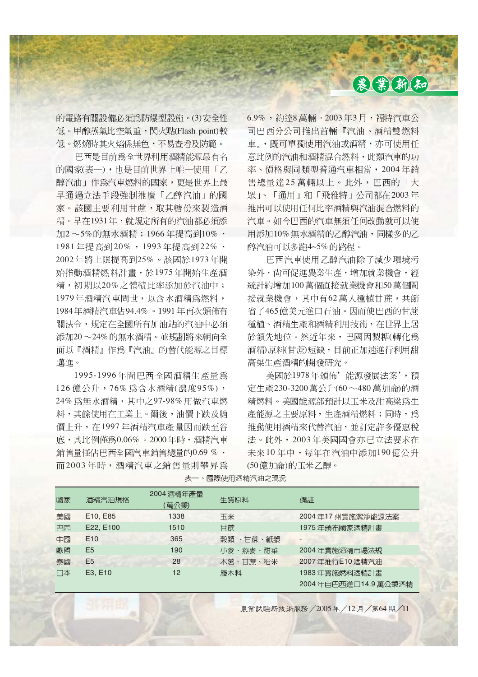的電路有關設備必須為防爆型設施。(3)安全性 低。甲醇蒸氣比空氣重,閃火點(Flash point)較 低。燃燒時其火焰係無色,不易杳看及防範。

巴西是目前為全世界利用酒精能源最有名 的國家(表一),也是目前世界上唯一使用「乙 醇汽油 | 作為汽車燃料的國家, 更是世界上最 早通過立法手段強制推廣「乙醇汽油」的國 家。該國主要利用甘蔗,取其糖份來製造酒 精。早在1931年,就規定所有的汽油都必須添 加2~5%的無水酒精;1966年提高到10%, 1981年提高到20%, 1993年提高到22%, 2002年將上限提高到25%。該國於1973年開 始推動酒精燃料計畫,於1975年開始生產酒 精,初期以20%之體積比率添加於汽油中; 1979年酒精汽車問世,以含水酒精為燃料, 1984年酒精汽車佔94.4%。1991年再次頒佈有 關法令,規定在全國所有加油站的汽油中必須 添加20~24%的無水酒精。並規劃將來朝向全 面以『酒精』作爲『汽油』的替代能源之目標 邁進。

1995-1996年間巴西全國酒精生產量為 126 億公升,76% 為含水酒精(濃度95%), 24% 為無水酒精,其中之97-98% 用做汽車燃 料,其餘使用在工業上。爾後,油價下跌及糖 價上升, 在1997年酒精汽車產量因而跌至谷 底,其比例僅為0.06%。2000年時,酒精汽車 銷售量僅佔巴西全國汽車銷售總量的0.69%, 而2003年時,酒精汽車之銷售量則攀昇為  $6.9\%$ , 約達8萬輛。2003年3月,福特汽車公 司巴西分公司推出首輛『汽油、酒精雙燃料 車』,既可單獨使用汽油或酒精,亦可使用任 意比例的汽油和酒精混合燃料,此類汽車的功 率、價格與同類型普通汽車相當, 2004年銷 售總量達25萬輛以上。此外,巴西的「大 眾」、「通用」和「飛雅特」公司都在2003年 推出可以使用任何比率酒精與汽油混合燃料的 汽車。如今巴西的汽車無須任何改動就可以使 用添加10%無水酒精的乙醇汽油,同樣多的乙 醇汽油可以多跑4~5%的路程。

巴西汽車使用乙醇汽油除了減少環境污 染外, 尚可促進農業生產, 增加就業機會, 經 統計約增加100萬個直接就業機會和50萬個間 接就業機會,其中有62萬人種植甘蔗,共節 省了465億美元進口石油。因而使巴西的甘蔗 種植、酒精生產和酒精利用技術,在世界上居 於領先地位。然近年來,巴國因製糖(轉化為 酒精)原料(甘蔗)短缺,目前正加速淮行利用甜 高粱生產酒精的開發研究。

美國於1978年頒佈'能源發展法案',預 定生產230-3200萬公升(60~480萬加侖)的酒 精燃料。美國能源部預計以下米及甜高粱為生 產能源之主要原料,生產酒精燃料;同時,為 推動使用酒精來代替汽油,並訂定許多優惠稅 法。此外, 2003年美國國會亦已立法要求在 未來10年中,每年在汽油中添加190億公升 (50億加侖)的玉米乙醇。

| 國家 | 酒精汽油規格                            | 2004 酒精年產量<br>[萬公秉) | 生質原料      | 備註                       |
|----|-----------------------------------|---------------------|-----------|--------------------------|
| 美國 | E <sub>10</sub> , E <sub>85</sub> | 1338                | 玉米        | 2004年17 州實施潔淨能源法案        |
| 巴西 | E22, E100                         | 1510                | 甘蔗        | 1975 年頒布國家酒精計畫           |
| 中國 | E <sub>10</sub>                   | 365                 | 穀類 、甘蔗、紙漿 | $\overline{\phantom{0}}$ |
| 歐盟 | E <sub>5</sub>                    | 190                 | 小麥、燕麥、甜菜  | 2004 年實施酒精市場法規           |
| 泰國 | E <sub>5</sub>                    | 28                  | 木薯、甘蔗、稻米  | 2007 年推行E10 酒精汽油         |
| 日本 | E3, E10                           | 12                  | 廢木料       | 1983 年實施燃料酒精計畫           |
|    |                                   |                     |           | 2004年自巴西進□14.9萬公秉酒精      |

表一、國際使用酒精汽油之現況

農業試驗所技術服務 / 2005年/12月/第64期/11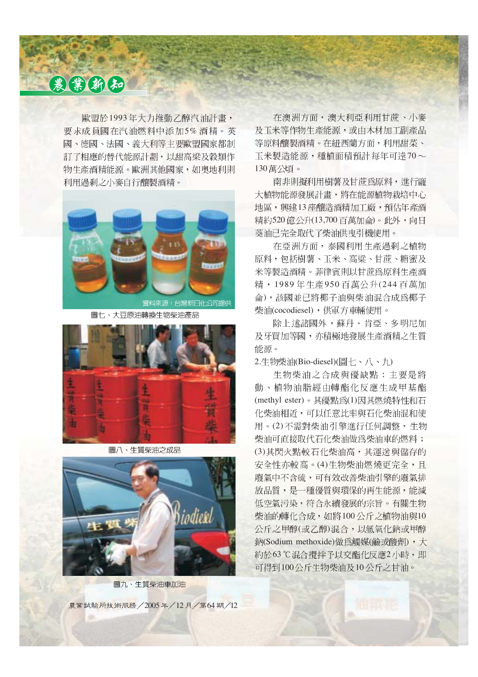歐盟於1993年大力推動乙醇汽油計書, 要求成員國在汽油燃料中添加5%酒精。英 國、德國、法國、義大利等主要歐盟國家都制 訂了相應的替代能源計劃,以甜高梁及穀類作 物生產酒精能源。歐洲其他國家,如奧地利則 利用渦剩之小麥自行釀製酒精。



圖七、大豆原油轉換生物柴油產品



圖八、生質柴油之成品



圖九、生質柴油車加油

農業試驗所技術服務 / 2005年 / 12 月 / 第64 期 / 12

在澳洲方面,澳大利亞利用甘蔗、小麥 及玉米等作物生產能源,或由木材加工副產品 等原料釀製酒精。在紐西蘭方面,利用甜菜、 下米製造能源,種植面積預計每年可達70~ 130萬公頃。

南非則擬利用樹薯及甘蔗為原料,進行龐 大植物能源發展計書,將在能源植物栽培中心 地區, 興建13座釀造酒精加工廠, 預估年產酒 精約520億公升(13,700百萬加侖)。此外,向日 葵油已完全取代了柴油供曳引機使用。

在亞洲方面,泰國利用生產過剩之植物 原料, 句括樹薯、玉米、高粱、甘蔗、糖蜜及 米等製造酒精。菲律賓則以甘蔗為原料生產酒 精, 1989年生產950百萬公升(244百萬加 命), 該國並已將椰子油與柴油混合成為椰子 柴油(cocodiesel),供軍方車輛使用。

除上述諸國外,蘇丹、肯亞、多明尼加 及牙買加等國,亦積極地發展生產酒精之生質 能源。

2.生物柴油(Bio-diesel)(圖七、八、九)

生物柴油之合成與優缺點: 主要是將 動、植物油脂經由轉酯化反應生成甲基酯 (methyl ester)。其優點為(1)因其燃燒特性和石 化柴油相近,可以任意比率與石化柴油混和使 用。(2)不需對柴油引擎進行任何調整,生物 柴油可直接取代石化柴油做為柴油車的燃料; (3)其閃火點較石化柴油高,其運送與儲存的 安全性亦較高。(4)生物柴油燃燒更完全,且 廢氣中不含硫,可有效改善柴油引擎的廢氣排 放品質,是一種優質與環保的再生能源,能減 低空氣污染, 符合永續發展的宗旨。有關生物 柴油的轉化合成,如將100公斤之植物油與10 公斤之甲醇(或乙醇)混合,以氫氧化鈉或甲醇 納(Sodium methoxide)做為觸媒(鹼或酸劑),大 約於63℃混合攪拌予以交酯化反應2小時,即 可得到100公斤生物柴油及10公斤之甘油。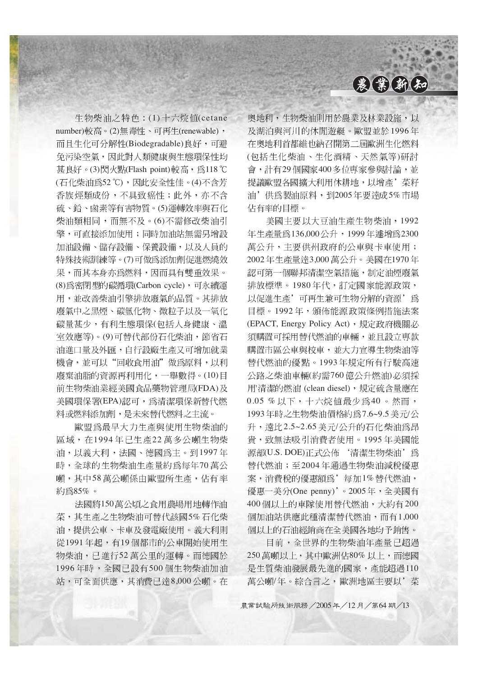

生物柴油之特色: (1) 十六烷值(cetane

number)較高。(2)無毒性、可再生(renewable), 而且生化可分解性(Biodegradable)良好,可避 免污染空氣,因此對人類健康與生態環保性均 甚良好。(3)閃火點(Flash point)較高,為118℃ (石化柴油為52°C), 因此安全性佳。(4)不含芳 香族烴類成份,不具致癌性;此外,亦不含 硫、鉛、鹵素等有害物質。(5)運轉效率與石化 柴油類相同,而無不及。(6)不需修改柴油引 擎,可直接添加使用;同時加油站無需另增設 加油設備、儲存設備、保養設備,以及人員的 特殊技術訓練等。(7)可做為添加劑促進燃燒效 果,而其本身亦爲燃料,因而具有雙重效果。 (8) 為密閉型的碳循環(Carbon cycle), 可永續運 用,並改善柴油引擎排放廢氣的品質。其排放 廢氣中之黑煙、碳氫化物、微粒子以及一氧化 碳量甚少,有利生態環保(包括人身健康、溫 室效應等)。(9)可替代部份石化柴油, 節省石 油淮口量及外匯,自行設廠生產又可增加就業 機會,並可以"回收食用油"做為原料,以利 廢棄油脂的資源再利用化,一舉數得。(10)目 前生物柴油業經美國食品藥物管理局(FDA)及 美國環保署(EPA)認可,為清潔環保新替代燃 料或燃料添加劑,是未來替代燃料之主流。

歐盟為最早大力生產與使用生物柴油的 區域,在1994年已生產22萬多公噸生物柴 油,以義大利,法國、德國為主。到1997年 時,全球的生物柴油生產量約爲每年70萬公 噸,其中58萬公噸係由歐盟所生產,佔有率 約為85%。

法國將150萬公頃之食用農場用地轉作油 菜,其生產之生物柴油可替代該國5%石化柴 油,提供公車、卡車及發電廠使用。義大利則 從1991年起,有19個都市的公車開始使用生 物柴油,已進行52萬公里的運轉。而德國於 1996年時,全國已設有500個生物柴油加油 站,可全面供應,其消費已達8,000公噸。在

奥地利,生物柴油則用於農業及林業設施,以 及湖泊與河川的休閒游艇。歐盟並於1996年 在奥地利首都維也納召開第二屆歐洲生化燃料 (包括生化柴油、生化酒精、天然氣等)研討 會,計有29個國家400多位專家參與討論,並 提議歐盟各國擴大利用休耕地,以增產' 菜籽 油'供為製油原料,到2005年要達成5%市場 佔有率的目標。

美國主要以大豆油生產生物柴油,1992 年生產量為136,000公升,1999年遽增為2300 萬公升,主要供州政府的公車與卡車使用; 2002年生產量達3,000萬公升。美國在1970年 認可第一個聯邦清潔空氣措施,制定油煙廢氣 排放標準。1980年代,訂定國家能源政策, 以促進生產'可再生兼可生物分解的資源'爲 目標。1992年,頒佈能源政策條例措施法案 (EPACT, Energy Policy Act), 規定政府機關必 須購置可採用替代燃油的車輛,並且設立專款 購置市區公車與校車, **並大力**官導生物柴油等 替代燃油的優點。1993年規定所有行駛高速 公路之柴油車輛(約需760億公升燃油)必須採 '清潔的燃油 (clean diesel)  $0.05, %$ 以下, 十六烷值最少為40。然而, 1993年時之生物柴油價格約為7.6~9.5 美元/公 升, 遠比2.5~2.65 美元/公升的石化柴油為昂 貴,致無法吸引消費者使用。1995年美國能 源部(U.S. DOE)正式公佈'清潔生物柴油'為 替代燃油;至2004年通過生物柴油減稅優惠 案,消費稅的優惠額為'每加1%替代燃油, 優惠一美分(One penny)'。2005年,全美國有 400個以上的車隊使用替代燃油,大約有200 個加油站供應此種清潔替代燃油,而有1,000 個以上的石油經銷商在全美國各地均予銷售。

目前,全世界的生物柴油年產量已超過 250萬噸以上,其中歐洲佔80%以上,而德國 是生質柴油發展最先進的國家,產能招過110 萬公噸/年。綜合言之,歐洲地區主要以'菜

農業試驗所技術服務 / 2005年/12月/第64期/13